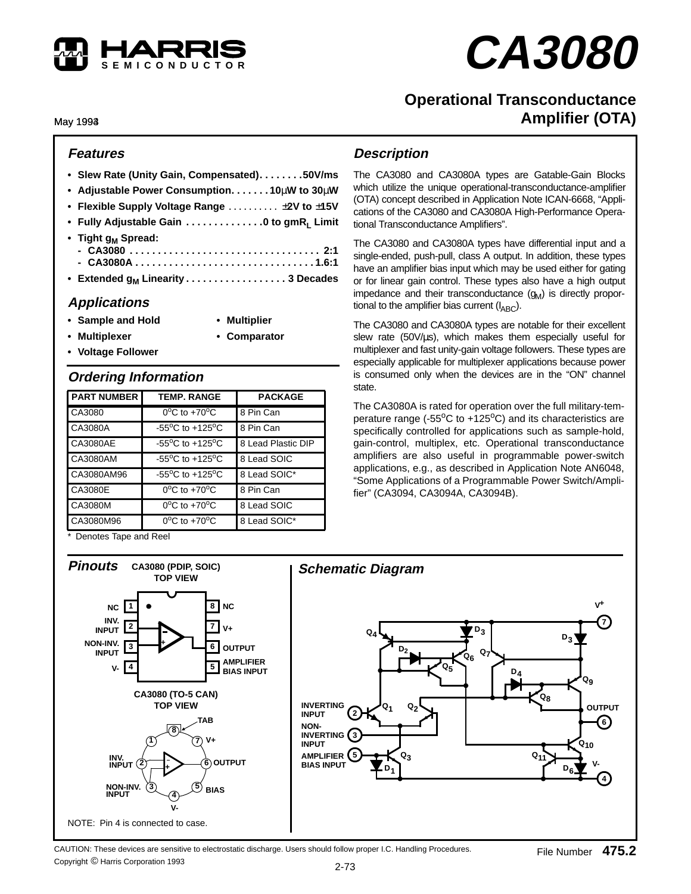

# **CA3080**

# **Operational Transconductance Amplifier (OTA)**

May 1994 1993

#### **Features**

|                                | • Slew Rate (Unity Gain, Compensated). 50V/ms            |
|--------------------------------|----------------------------------------------------------|
|                                | • Adjustable Power Consumption. 10 $\mu$ W to 30 $\mu$ W |
|                                | • Flexible Supply Voltage Range $\dots\dots\dots\dots$   |
|                                | • Fully Adjustable Gain 0 to gmR <sub>L</sub> Limit      |
| • Tight g <sub>M</sub> Spread: |                                                          |
|                                | • Extended g <sub>M</sub> Linearity 3 Decades            |

## **Applications**

- **Sample and Hold Multiplier**
	-
- 
- **Multiplexer Comparator**
- **Voltage Follower**
- **Ordering Information**

| <b>PART NUMBER</b> | <b>TEMP, RANGE</b>                  | <b>PACKAGE</b>     |
|--------------------|-------------------------------------|--------------------|
| CA3080             | $0^{\circ}$ C to $+70^{\circ}$ C    | 8 Pin Can          |
| CA3080A            | $-55^{\circ}$ C to $+125^{\circ}$ C | 8 Pin Can          |
| CA3080AE           | $-55^{\circ}$ C to $+125^{\circ}$ C | 8 Lead Plastic DIP |
| CA3080AM           | $-55^{\circ}$ C to $+125^{\circ}$ C | 8 Lead SOIC        |
| CA3080AM96         | $-55^{\circ}$ C to $+125^{\circ}$ C | 8 Lead SOIC*       |
| CA3080E            | $0^{\circ}$ C to +70 $^{\circ}$ C   | 8 Pin Can          |
| CA3080M            | $0^{\circ}$ C to $+70^{\circ}$ C    | 8 Lead SOIC        |
| CA3080M96          | $0^{\circ}$ C to $+70^{\circ}$ C    | 8 Lead SOIC*       |

\* Denotes Tape and Reel

### **Description**

The CA3080 and CA3080A types are Gatable-Gain Blocks which utilize the unique operational-transconductance-amplifier (OTA) concept described in Application Note ICAN-6668, "Applications of the CA3080 and CA3080A High-Performance Operational Transconductance Amplifiers".

The CA3080 and CA3080A types have differential input and a single-ended, push-pull, class A output. In addition, these types have an amplifier bias input which may be used either for gating or for linear gain control. These types also have a high output impedance and their transconductance  $(g_M)$  is directly proportional to the amplifier bias current  $(I_{ABC})$ .

The CA3080 and CA3080A types are notable for their excellent slew rate (50V/us), which makes them especially useful for multiplexer and fast unity-gain voltage followers. These types are especially applicable for multiplexer applications because power is consumed only when the devices are in the "ON" channel state.

The CA3080A is rated for operation over the full military-temperature range (- $55^{\circ}$ C to +125 $^{\circ}$ C) and its characteristics are specifically controlled for applications such as sample-hold, gain-control, multiplex, etc. Operational transconductance amplifiers are also useful in programmable power-switch applications, e.g., as described in Application Note AN6048, "Some Applications of a Programmable Power Switch/Amplifier" (CA3094, CA3094A, CA3094B).



CAUTION: These devices are sensitive to electrostatic discharge. Users should follow proper I.C. Handling Procedures. Copyright © Harris Corporation 1993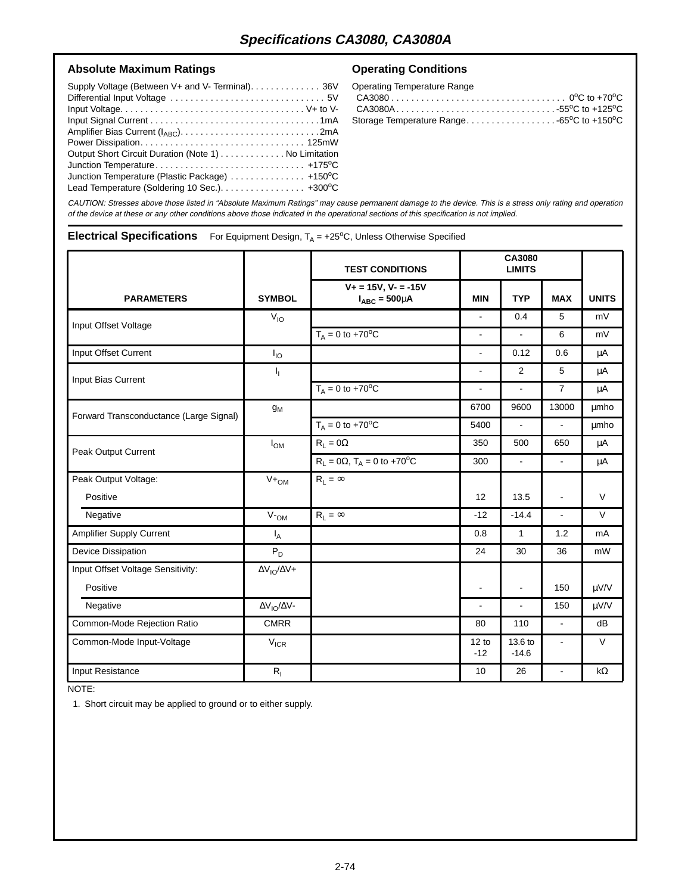#### Absolute Maximum Ratings **Conduct Absolute Maximum Ratings Conduct Absolute Maximum Ratings**

| Supply Voltage (Between V+ and V- Terminal). 36V                             |  |
|------------------------------------------------------------------------------|--|
|                                                                              |  |
|                                                                              |  |
|                                                                              |  |
|                                                                              |  |
| Output Short Circuit Duration (Note 1) No Limitation                         |  |
|                                                                              |  |
| Junction Temperature (Plastic Package) $\ldots \ldots \ldots \ldots$ +150 °C |  |
| Lead Temperature (Soldering 10 Sec.). +300°C                                 |  |

| Operating Temperature Range                                         |  |
|---------------------------------------------------------------------|--|
|                                                                     |  |
|                                                                     |  |
| Storage Temperature Range -65 <sup>o</sup> C to +150 <sup>o</sup> C |  |

CAUTION: Stresses above those listed in "Absolute Maximum Ratings" may cause permanent damage to the device. This is a stress only rating and operation of the device at these or any other conditions above those indicated in the operational sections of this specification is not implied.

#### **Electrical Specifications** For Equipment Design, T<sub>A</sub> = +25°C, Unless Otherwise Specified

|                                         |                            | <b>TEST CONDITIONS</b>                              |                 | CA3080<br><b>LIMITS</b> |                |              |
|-----------------------------------------|----------------------------|-----------------------------------------------------|-----------------|-------------------------|----------------|--------------|
| <b>PARAMETERS</b>                       | <b>SYMBOL</b>              | $V + = 15V$ , $V - = -15V$<br>$I_{ABC} = 500 \mu A$ | <b>MIN</b>      | <b>TYP</b>              | <b>MAX</b>     | <b>UNITS</b> |
| Input Offset Voltage                    | $V_{IO}$                   |                                                     |                 | 0.4                     | 5              | mV           |
|                                         |                            | $T_A = 0$ to +70 <sup>o</sup> C                     | ÷.              |                         | 6              | mV           |
| Input Offset Current                    | $I_{IO}$                   |                                                     | ä,              | 0.12                    | 0.6            | μA           |
| Input Bias Current                      | I <sub>I</sub>             |                                                     | ÷,              | $\overline{2}$          | 5              | μA           |
|                                         |                            | $T_A = 0$ to +70 <sup>o</sup> C                     | ٠               | $\blacksquare$          | $\overline{7}$ | μA           |
| Forward Transconductance (Large Signal) | $g_M$                      |                                                     | 6700            | 9600                    | 13000          | <b>µmho</b>  |
|                                         |                            | $T_A = 0$ to +70 <sup>o</sup> C                     | 5400            | $\blacksquare$          | $\blacksquare$ | umho         |
| Peak Output Current                     | $I_{OM}$                   | $R_L = 0.02$                                        | 350             | 500                     | 650            | μA           |
|                                         |                            | $R_L = 0\Omega$ , $T_A = 0$ to +70 <sup>o</sup> C   | 300             | $\blacksquare$          | $\blacksquare$ | μA           |
| Peak Output Voltage:                    | $V +_{OM}$                 | $R_1 = \infty$                                      |                 |                         |                |              |
| Positive                                |                            |                                                     | 12              | 13.5                    | $\blacksquare$ | $\vee$       |
| Negative                                | V <sub>OM</sub>            | $R_1 = \infty$                                      | $-12$           | $-14.4$                 | $\blacksquare$ | $\vee$       |
| <b>Amplifier Supply Current</b>         | $I_A$                      |                                                     | 0.8             | $\mathbf{1}$            | 1.2            | mA           |
| Device Dissipation                      | $P_D$                      |                                                     | 24              | 30                      | 36             | mW           |
| Input Offset Voltage Sensitivity:       | $\Delta V_{IO}/\Delta V+$  |                                                     |                 |                         |                |              |
| Positive                                |                            |                                                     | $\blacksquare$  | $\blacksquare$          | 150            | $\mu$ V/V    |
| Negative                                | $\Delta V_{IO}/\Delta V$ - |                                                     | ä,              | $\blacksquare$          | 150            | µV/V         |
| Common-Mode Rejection Ratio             | <b>CMRR</b>                |                                                     | 80              | 110                     | $\blacksquare$ | dB           |
| Common-Mode Input-Voltage               | $V_{ICR}$                  |                                                     | 12 to<br>$-12$  | 13.6 to<br>$-14.6$      |                | $\vee$       |
| Input Resistance                        | $R_{I}$                    |                                                     | 10 <sup>1</sup> | 26                      | ÷              | $k\Omega$    |

NOTE:

1. Short circuit may be applied to ground or to either supply.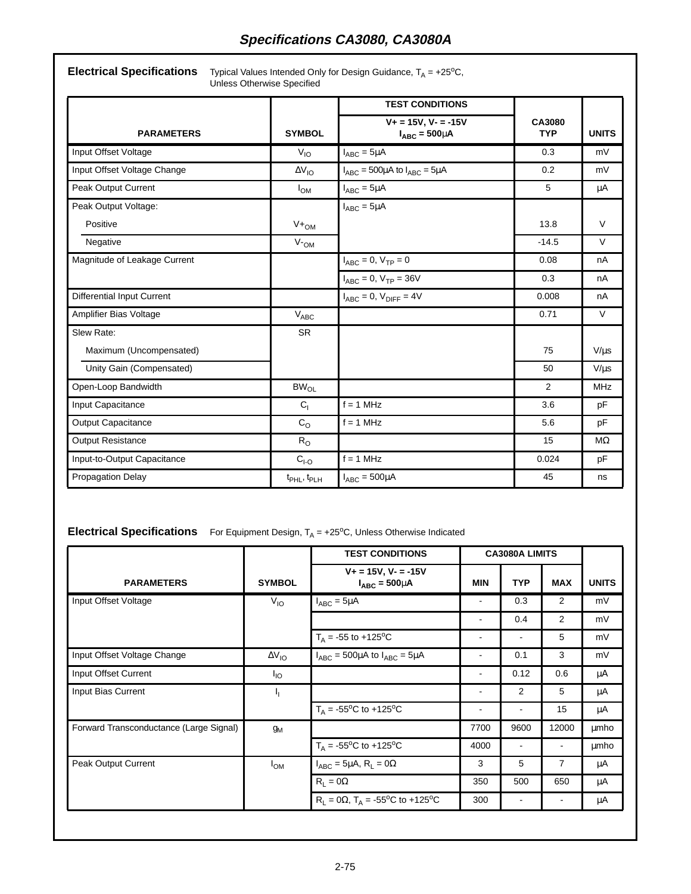**Electrical Specifications** Typical Values Intended Only for Design Guidance, T<sub>A</sub> = +25<sup>o</sup>C, Unless Otherwise Specified

|                                   | <b>TEST CONDITIONS</b>     |                                                     |                      |              |
|-----------------------------------|----------------------------|-----------------------------------------------------|----------------------|--------------|
| <b>PARAMETERS</b>                 | <b>SYMBOL</b>              | $V_+ = 15V$ , $V_- = -15V$<br>$I_{ABC} = 500 \mu A$ | CA3080<br><b>TYP</b> | <b>UNITS</b> |
| Input Offset Voltage              | $V_{IO}$                   | $I_{ABC} = 5\mu A$                                  | 0.3                  | mV           |
| Input Offset Voltage Change       | $\Delta V_{IO}$            | $I_{ABC}$ = 500µA to $I_{ABC}$ = 5µA                | 0.2                  | mV           |
| Peak Output Current               | $I_{OM}$                   | $I_{ABC} = 5\mu A$                                  | 5                    | μA           |
| Peak Output Voltage:              |                            | $I_{ABC} = 5\mu A$                                  |                      |              |
| Positive                          | $V +_{OM}$                 |                                                     | 13.8                 | $\vee$       |
| Negative                          | $V_{\text{-OM}}$           |                                                     | $-14.5$              | $\vee$       |
| Magnitude of Leakage Current      |                            | $I_{ABC} = 0, V_{TP} = 0$                           | 0.08                 | nA           |
|                                   |                            | $I_{ABC} = 0, V_{TP} = 36V$                         | 0.3                  | nA           |
| <b>Differential Input Current</b> |                            | $I_{ABC} = 0$ , $V_{DIFF} = 4V$                     | 0.008                | nA           |
| Amplifier Bias Voltage            | $V_{ABC}$                  |                                                     | 0.71                 | $\vee$       |
| Slew Rate:                        | <b>SR</b>                  |                                                     |                      |              |
| Maximum (Uncompensated)           |                            |                                                     | 75                   | $V/\mu s$    |
| Unity Gain (Compensated)          |                            |                                                     | 50                   | $V/\mu s$    |
| Open-Loop Bandwidth               | $BW_{OL}$                  |                                                     | $\overline{2}$       | <b>MHz</b>   |
| Input Capacitance                 | C <sub>1</sub>             | $f = 1$ MHz                                         | 3.6                  | pF           |
| <b>Output Capacitance</b>         | $C_{\rm O}$                | $f = 1$ MHz                                         | 5.6                  | pF           |
| <b>Output Resistance</b>          | $R_{O}$                    |                                                     | 15                   | $M\Omega$    |
| Input-to-Output Capacitance       | $CI-O$                     | $f = 1$ MHz                                         | 0.024                | pF           |
| <b>Propagation Delay</b>          | $t_{\sf PHL}, t_{\sf PLH}$ | $I_{ABC} = 500 \mu A$                               | 45                   | ns           |

## **Electrical Specifications** For Equipment Design, T<sub>A</sub> = +25°C, Unless Otherwise Indicated

|                                         |                 | <b>TEST CONDITIONS</b>                                        | <b>CA3080A LIMITS</b> |                |                          |              |
|-----------------------------------------|-----------------|---------------------------------------------------------------|-----------------------|----------------|--------------------------|--------------|
| <b>PARAMETERS</b>                       | <b>SYMBOL</b>   | $V + = 15V$ , $V - = -15V$<br>$I_{ABC} = 500 \mu A$           | <b>MIN</b>            | <b>TYP</b>     | <b>MAX</b>               | <b>UNITS</b> |
| Input Offset Voltage                    | $V_{10}$        | $I_{ABC} = 5\mu A$                                            | -                     | 0.3            | $\overline{2}$           | mV           |
|                                         |                 |                                                               | ٠                     | 0.4            | $\overline{2}$           | mV           |
|                                         |                 | $T_A = -55$ to +125 <sup>o</sup> C                            |                       |                | 5                        | mV           |
| Input Offset Voltage Change             | $\Delta V_{IO}$ | $I_{ABC}$ = 500µA to $I_{ABC}$ = 5µA                          | ۰                     | 0.1            | 3                        | mV           |
| Input Offset Current                    | $I_{IO}$        |                                                               | ٠                     | 0.12           | 0.6                      | μA           |
| Input Bias Current                      | Ч.              |                                                               | ۰                     | 2              | 5                        | μA           |
|                                         |                 | $T_A = -55^{\circ}C$ to $+125^{\circ}C$                       | ۰                     | ٠              | 15                       | μA           |
| Forward Transconductance (Large Signal) | $g_M$           |                                                               | 7700                  | 9600           | 12000                    | umho         |
|                                         |                 | $T_A = -55^{\circ}C$ to $+125^{\circ}C$                       | 4000                  | ٠              | ٠                        | μmho         |
| Peak Output Current                     | $I_{OM}$        | $I_{ABC} = 5\mu A$ , $R_L = 0\Omega$                          | 3                     | 5              | $\overline{7}$           | μA           |
|                                         |                 | $R_1 = 0\Omega$                                               | 350                   | 500            | 650                      | μA           |
|                                         |                 | $R_1 = 0\Omega$ , $T_A = -55^{\circ}C$ to +125 <sup>o</sup> C | 300                   | $\blacksquare$ | $\overline{\phantom{a}}$ | μA           |
|                                         |                 |                                                               |                       |                |                          |              |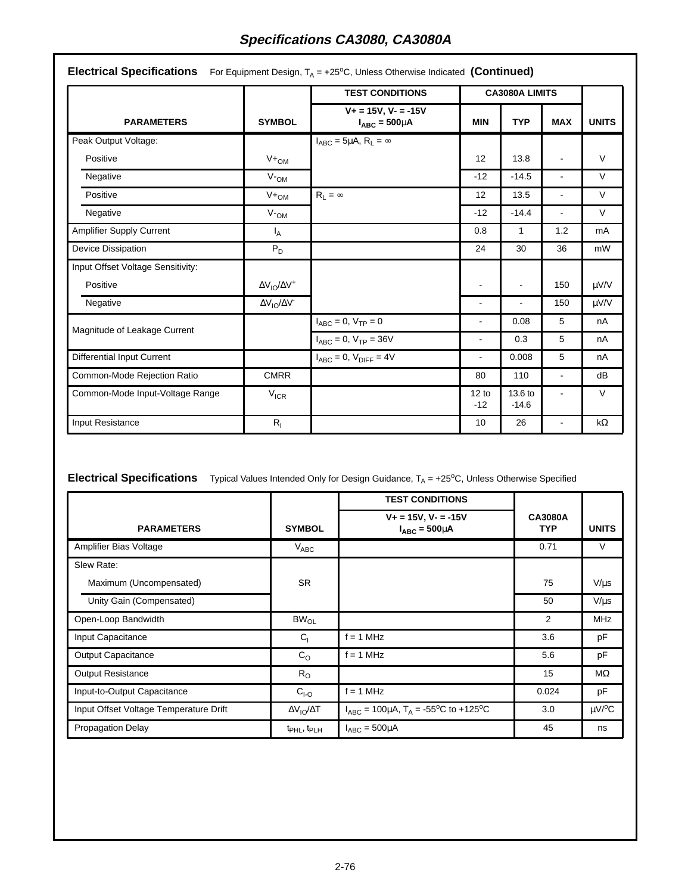| <b>PARAMETERS</b>                 | <b>SYMBOL</b>                            | <b>TEST CONDITIONS</b>                              |                 | <b>CA3080A LIMITS</b> |                |              |
|-----------------------------------|------------------------------------------|-----------------------------------------------------|-----------------|-----------------------|----------------|--------------|
|                                   |                                          | $V + = 15V$ , $V - = -15V$<br>$I_{ABC} = 500 \mu A$ | <b>MIN</b>      | <b>TYP</b>            | <b>MAX</b>     | <b>UNITS</b> |
| Peak Output Voltage:              |                                          | $I_{ABC} = 5\mu A, R_L = \infty$                    |                 |                       |                |              |
| Positive                          | $V +_{OM}$                               |                                                     | 12              | 13.8                  | $\blacksquare$ | $\vee$       |
| Negative                          | V <sub>OM</sub>                          |                                                     | $-12$           | $-14.5$               | $\blacksquare$ | $\vee$       |
| Positive                          | $V +_{OM}$                               | $R_L = \infty$                                      | 12 <sup>2</sup> | 13.5                  | $\blacksquare$ | $\vee$       |
| Negative                          | $V_{\text{OM}}$                          |                                                     | $-12$           | $-14.4$               | $\blacksquare$ | V            |
| <b>Amplifier Supply Current</b>   | $I_A$                                    |                                                     | 0.8             | 1                     | 1.2            | mA           |
| Device Dissipation                | $P_D$                                    |                                                     | 24              | 30                    | 36             | mW           |
| Input Offset Voltage Sensitivity: |                                          |                                                     |                 |                       |                |              |
| Positive                          | $\Delta V_{IO}/\Delta V^+$               |                                                     | $\blacksquare$  |                       | 150            | µV/V         |
| Negative                          | $\Delta {\rm V}_{\rm IO}/\Delta {\rm V}$ |                                                     | ÷,              |                       | 150            | μV/V         |
| Magnitude of Leakage Current      |                                          | $I_{ABC} = 0, V_{TP} = 0$                           | ٠               | 0.08                  | 5              | nA           |
|                                   |                                          | $I_{ABC} = 0, V_{TP} = 36V$                         |                 | 0.3                   | 5              | nA           |
| <b>Differential Input Current</b> |                                          | $I_{ABC} = 0$ , $V_{DIFF} = 4V$                     | ä,              | 0.008                 | 5              | nA           |
| Common-Mode Rejection Ratio       | <b>CMRR</b>                              |                                                     | 80              | 110                   | $\blacksquare$ | dB           |
| Common-Mode Input-Voltage Range   | $V_{ICR}$                                |                                                     | 12 to<br>$-12$  | 13.6 to<br>$-14.6$    | $\blacksquare$ | $\vee$       |
| Input Resistance                  | $R_{I}$                                  |                                                     | 10              | 26                    | $\blacksquare$ | k $\Omega$   |

# **Electrical Specifications** Typical Values Intended Only for Design Guidance, T<sub>A</sub> = +25°C, Unless Otherwise Specified

|                                        |                                     | <b>TEST CONDITIONS</b>                                          |                       |                         |
|----------------------------------------|-------------------------------------|-----------------------------------------------------------------|-----------------------|-------------------------|
| <b>PARAMETERS</b>                      | <b>SYMBOL</b>                       | $V_+ = 15V$ , $V_- = -15V$<br>$I_{ABC} = 500 \mu A$             | CA3080A<br><b>TYP</b> | <b>UNITS</b>            |
| Amplifier Bias Voltage                 | $V_{ABC}$                           |                                                                 | 0.71                  | V                       |
| Slew Rate:                             |                                     |                                                                 |                       |                         |
| Maximum (Uncompensated)                | <b>SR</b>                           |                                                                 | 75                    | $V/\mu s$               |
| Unity Gain (Compensated)               |                                     |                                                                 | 50                    | $V/\mu s$               |
| Open-Loop Bandwidth                    | $BW_{OL}$                           |                                                                 | 2                     | <b>MHz</b>              |
| Input Capacitance                      | $C_{1}$                             | $f = 1$ MHz                                                     | 3.6                   | pF                      |
| <b>Output Capacitance</b>              | C <sub>O</sub>                      | $f = 1$ MHz                                                     | 5.6                   | pF                      |
| <b>Output Resistance</b>               | $R_{\rm O}$                         |                                                                 | 15                    | MΩ                      |
| Input-to-Output Capacitance            | $CI-O$                              | $f = 1$ MHz                                                     | 0.024                 | pF                      |
| Input Offset Voltage Temperature Drift | $\Delta V_{IO}/\Delta T$            | $I_{ABC} = 100 \mu A$ , $T_A = -55^{\circ}C$ to $+125^{\circ}C$ | 3.0                   | $\mu$ V/ <sup>o</sup> C |
| <b>Propagation Delay</b>               | t <sub>PHL</sub> , t <sub>PLH</sub> | $I_{ABC} = 500 \mu A$                                           | 45                    | ns                      |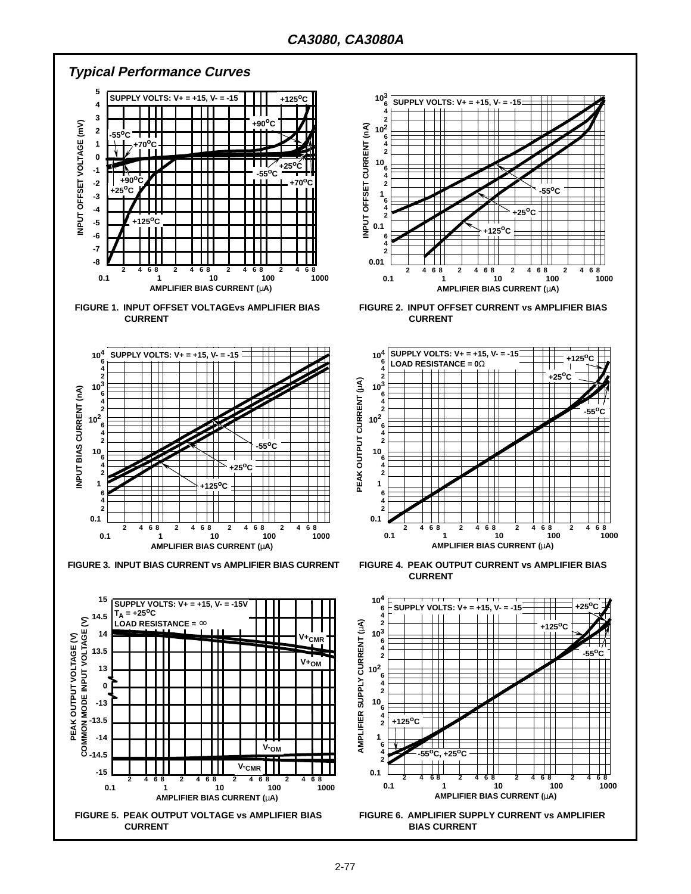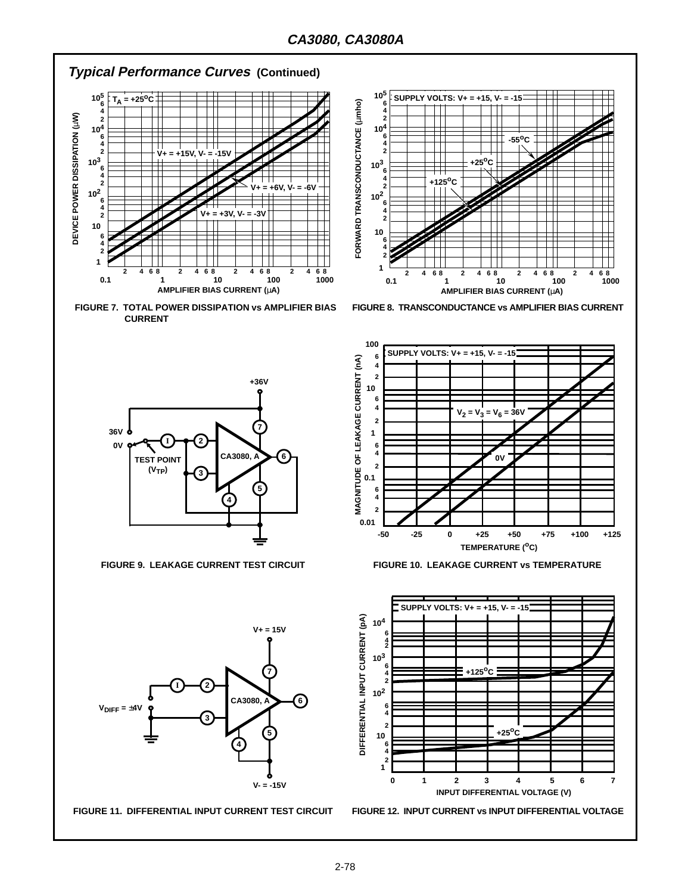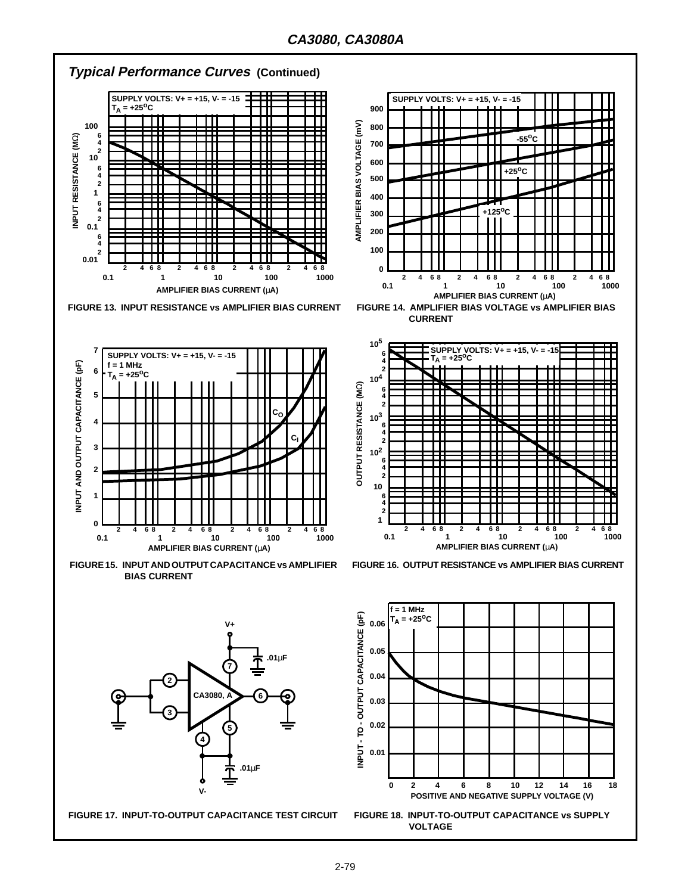

**FIGURE 17. INPUT-TO-OUTPUT CAPACITANCE TEST CIRCUIT FIGURE 18. INPUT-TO-OUTPUT CAPACITANCE vs SUPPLY**

**VOLTAGE**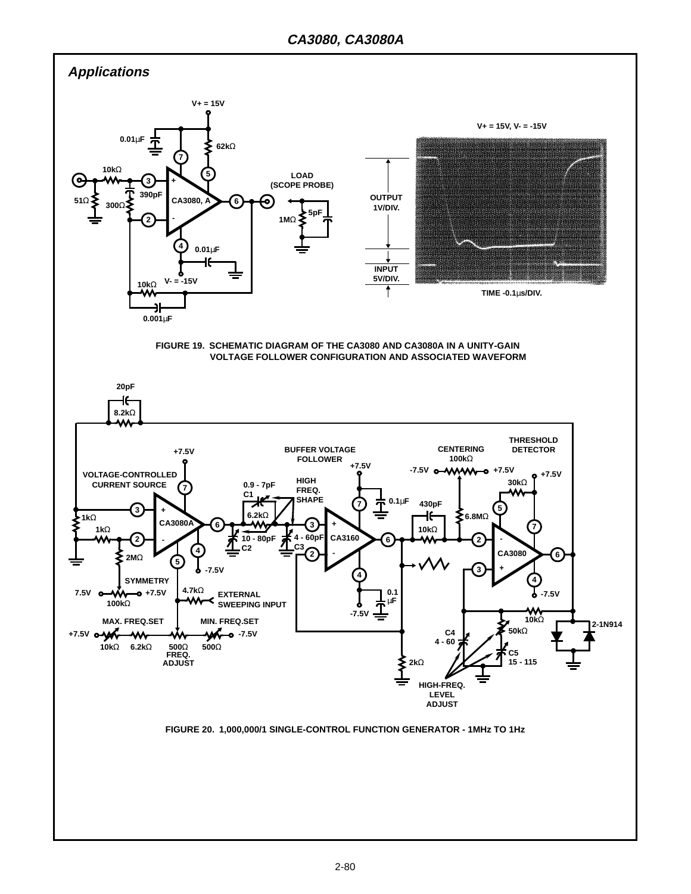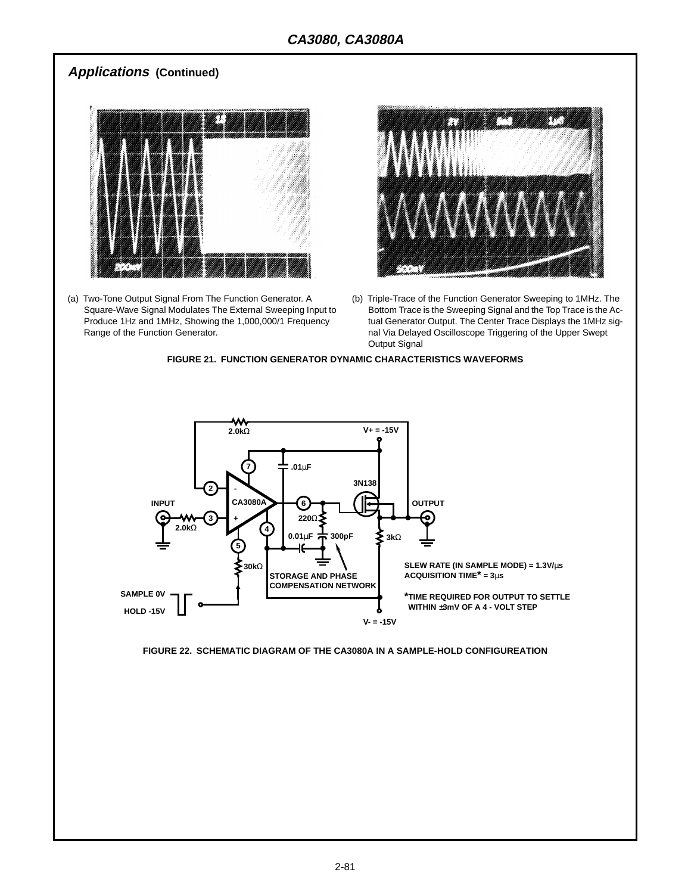## **Applications (Continued)**



(a) Two-Tone Output Signal From The Function Generator. A Square-Wave Signal Modulates The External Sweeping Input to Produce 1Hz and 1MHz, Showing the 1,000,000/1 Frequency Range of the Function Generator.



(b) Triple-Trace of the Function Generator Sweeping to 1MHz. The Bottom Trace is the Sweeping Signal and the Top Trace is the Actual Generator Output. The Center Trace Displays the 1MHz signal Via Delayed Oscilloscope Triggering of the Upper Swept Output Signal





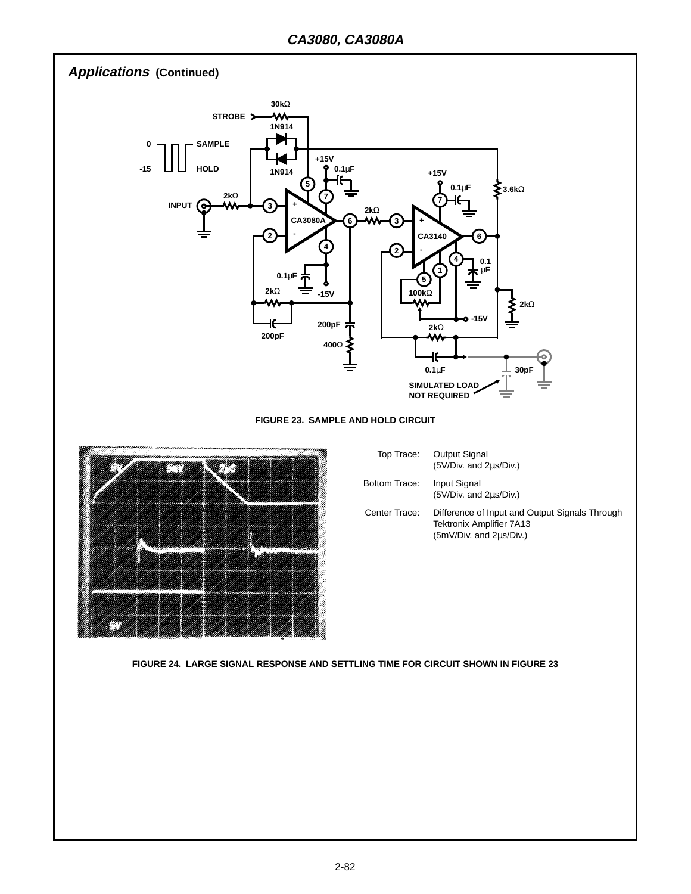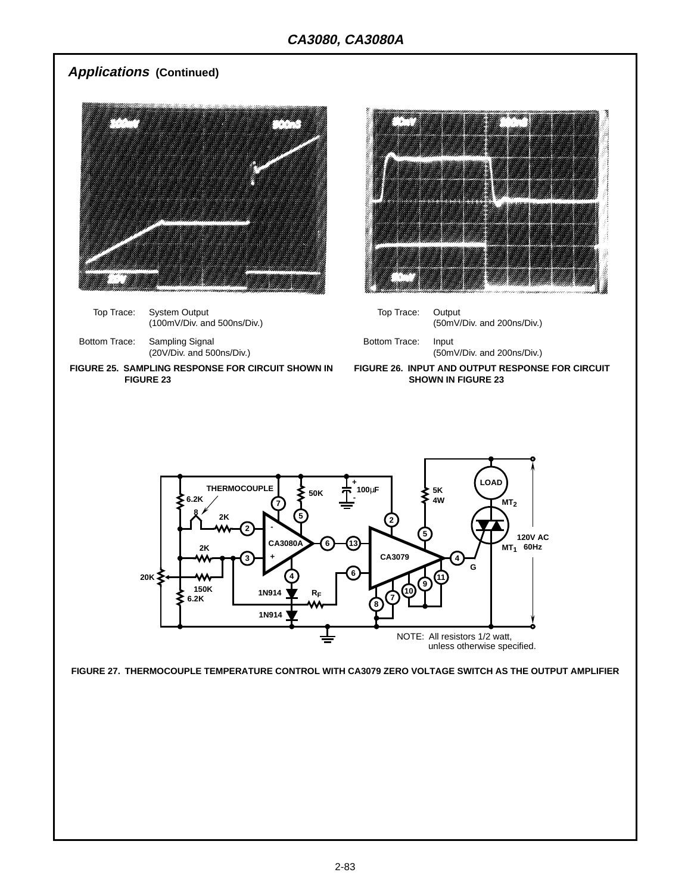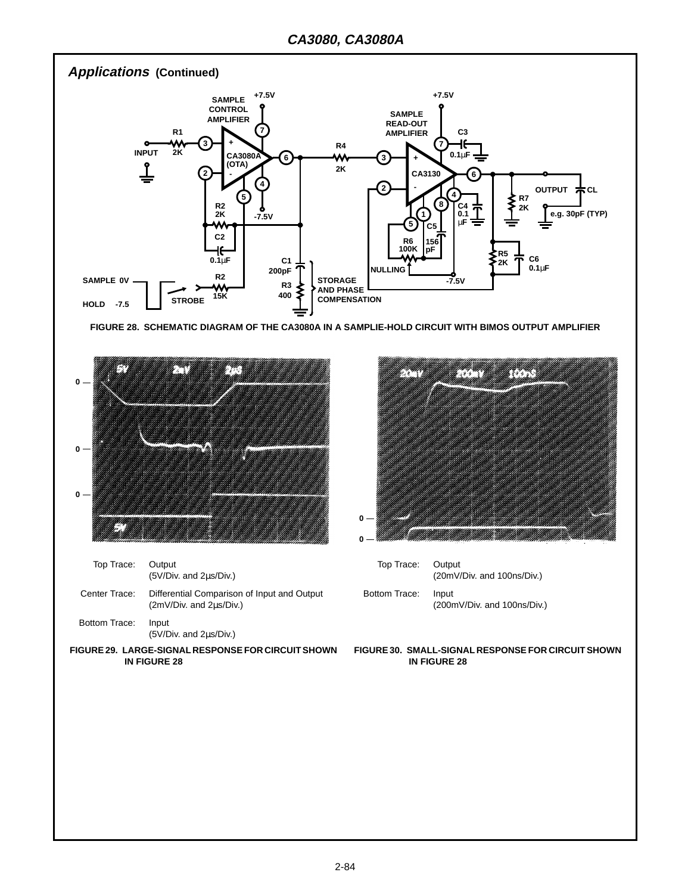